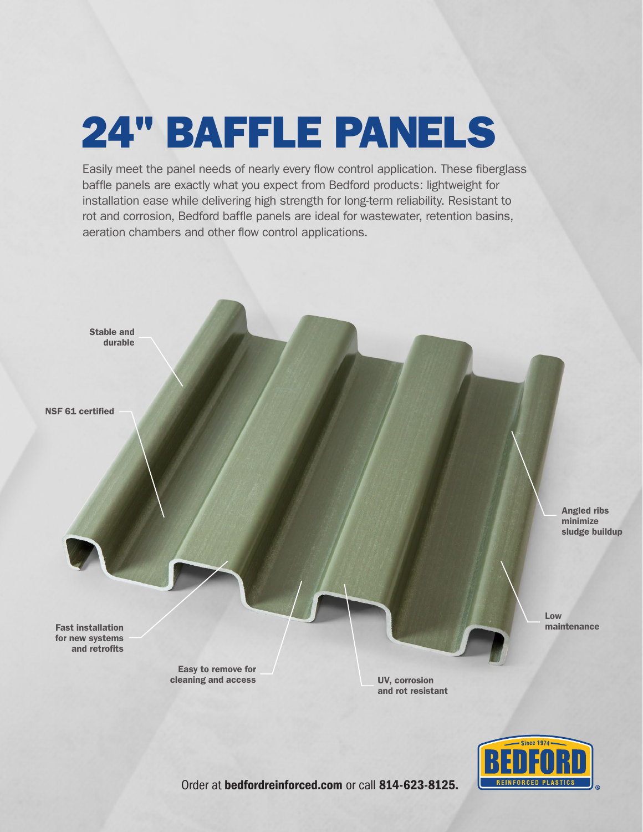## 24" BAFFLE PANELS

Easily meet the panel needs of nearly every flow control application. These fiberglass baffle panels are exactly what you expect from Bedford products: lightweight for installation ease while delivering high strength for long-term reliability. Resistant to rot and corrosion, Bedford baffle panels are ideal for wastewater, retention basins, aeration chambers and other flow control applications.





Order at bedfordreinforced.com or call 814-623-8125.